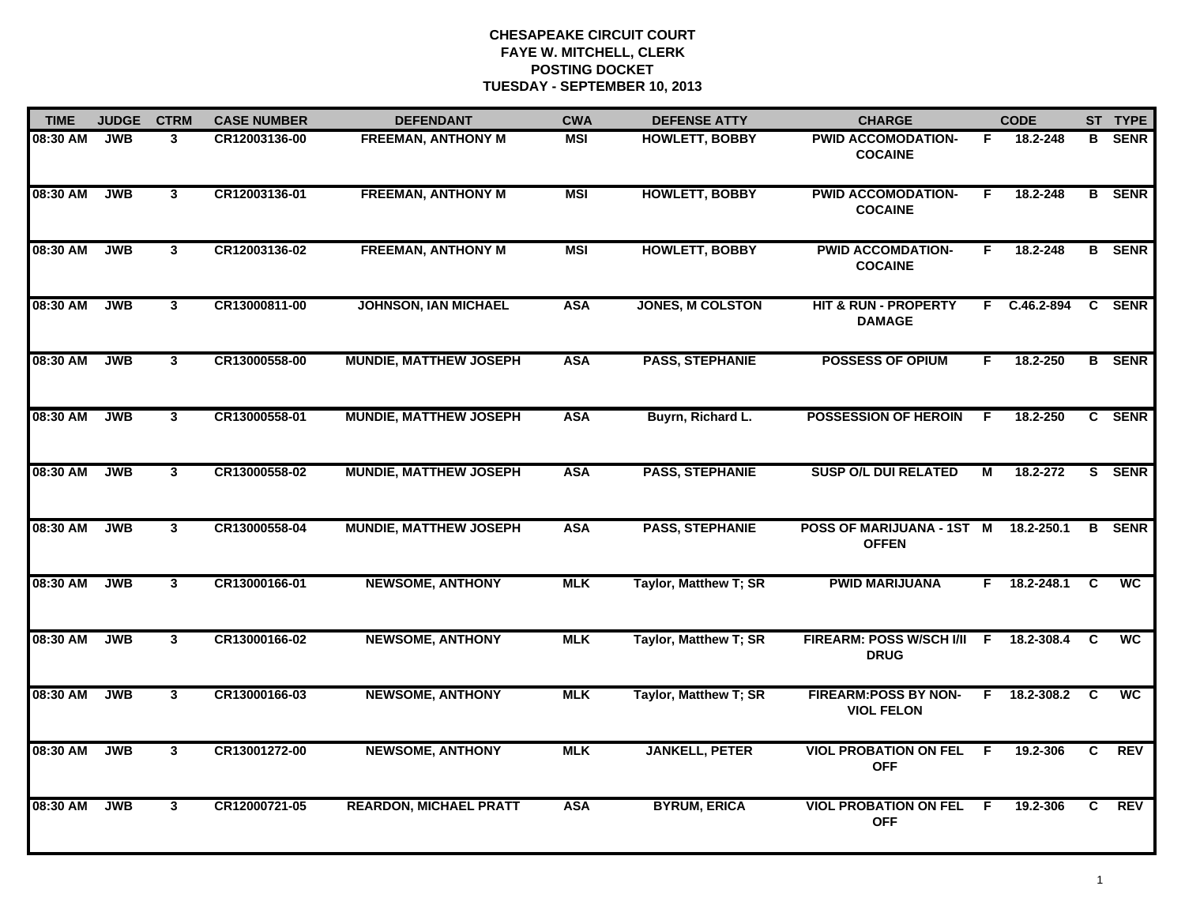| <b>TIME</b> | <b>JUDGE</b> | <b>CTRM</b>             | <b>CASE NUMBER</b> | <b>DEFENDANT</b>              | <b>CWA</b> | <b>DEFENSE ATTY</b>          | <b>CHARGE</b>                                    |    | <b>CODE</b> |    | ST TYPE       |
|-------------|--------------|-------------------------|--------------------|-------------------------------|------------|------------------------------|--------------------------------------------------|----|-------------|----|---------------|
| 08:30 AM    | <b>JWB</b>   | 3                       | CR12003136-00      | <b>FREEMAN, ANTHONY M</b>     | <b>MSI</b> | <b>HOWLETT, BOBBY</b>        | <b>PWID ACCOMODATION-</b><br><b>COCAINE</b>      | F. | 18.2-248    | B  | <b>SENR</b>   |
| 08:30 AM    | <b>JWB</b>   | $\mathbf{3}$            | CR12003136-01      | <b>FREEMAN, ANTHONY M</b>     | <b>MSI</b> | <b>HOWLETT, BOBBY</b>        | <b>PWID ACCOMODATION-</b><br><b>COCAINE</b>      | F. | 18.2-248    |    | <b>B</b> SENR |
| 08:30 AM    | <b>JWB</b>   | $\mathbf{3}$            | CR12003136-02      | <b>FREEMAN, ANTHONY M</b>     | <b>MSI</b> | <b>HOWLETT, BOBBY</b>        | <b>PWID ACCOMDATION-</b><br><b>COCAINE</b>       | F  | 18.2-248    |    | <b>B</b> SENR |
| 08:30 AM    | <b>JWB</b>   | $\mathbf{3}$            | CR13000811-00      | <b>JOHNSON, IAN MICHAEL</b>   | <b>ASA</b> | <b>JONES, M COLSTON</b>      | <b>HIT &amp; RUN - PROPERTY</b><br><b>DAMAGE</b> | F. | C.46.2-894  |    | C SENR        |
| 08:30 AM    | <b>JWB</b>   | $\mathbf{3}$            | CR13000558-00      | <b>MUNDIE, MATTHEW JOSEPH</b> | <b>ASA</b> | <b>PASS, STEPHANIE</b>       | <b>POSSESS OF OPIUM</b>                          | F. | 18.2-250    |    | <b>B</b> SENR |
| 08:30 AM    | <b>JWB</b>   | $\mathbf{3}$            | CR13000558-01      | <b>MUNDIE, MATTHEW JOSEPH</b> | <b>ASA</b> | Buyrn, Richard L.            | <b>POSSESSION OF HEROIN</b>                      | F. | 18.2-250    |    | C SENR        |
| 08:30 AM    | <b>JWB</b>   | $\overline{\mathbf{3}}$ | CR13000558-02      | <b>MUNDIE, MATTHEW JOSEPH</b> | <b>ASA</b> | <b>PASS, STEPHANIE</b>       | <b>SUSP O/L DUI RELATED</b>                      | М  | 18.2-272    | S. | <b>SENR</b>   |
| 08:30 AM    | <b>JWB</b>   | $\mathbf{3}$            | CR13000558-04      | <b>MUNDIE, MATTHEW JOSEPH</b> | <b>ASA</b> | <b>PASS, STEPHANIE</b>       | POSS OF MARIJUANA - 1ST M<br><b>OFFEN</b>        |    | 18.2-250.1  | B  | <b>SENR</b>   |
| 08:30 AM    | <b>JWB</b>   | $\mathbf{3}$            | CR13000166-01      | <b>NEWSOME, ANTHONY</b>       | <b>MLK</b> | <b>Taylor, Matthew T; SR</b> | <b>PWID MARIJUANA</b>                            | F. | 18.2-248.1  | C  | <b>WC</b>     |
| 08:30 AM    | <b>JWB</b>   | 3 <sup>1</sup>          | CR13000166-02      | <b>NEWSOME, ANTHONY</b>       | <b>MLK</b> | Taylor, Matthew T; SR        | FIREARM: POSS W/SCH I/II F<br><b>DRUG</b>        |    | 18.2-308.4  | C  | <b>WC</b>     |
| 08:30 AM    | <b>JWB</b>   | $\mathbf{3}$            | CR13000166-03      | <b>NEWSOME, ANTHONY</b>       | <b>MLK</b> | Taylor, Matthew T; SR        | <b>FIREARM:POSS BY NON-</b><br><b>VIOL FELON</b> | F. | 18.2-308.2  | C  | <b>WC</b>     |
| 08:30 AM    | <b>JWB</b>   | $3^{\circ}$             | CR13001272-00      | <b>NEWSOME, ANTHONY</b>       | <b>MLK</b> | <b>JANKELL, PETER</b>        | <b>VIOL PROBATION ON FEL</b><br><b>OFF</b>       | F. | 19.2-306    | C. | <b>REV</b>    |
| 08:30 AM    | <b>JWB</b>   | $\mathbf{3}$            | CR12000721-05      | <b>REARDON, MICHAEL PRATT</b> | <b>ASA</b> | <b>BYRUM, ERICA</b>          | <b>VIOL PROBATION ON FEL</b><br><b>OFF</b>       | -F | 19.2-306    | C. | REV           |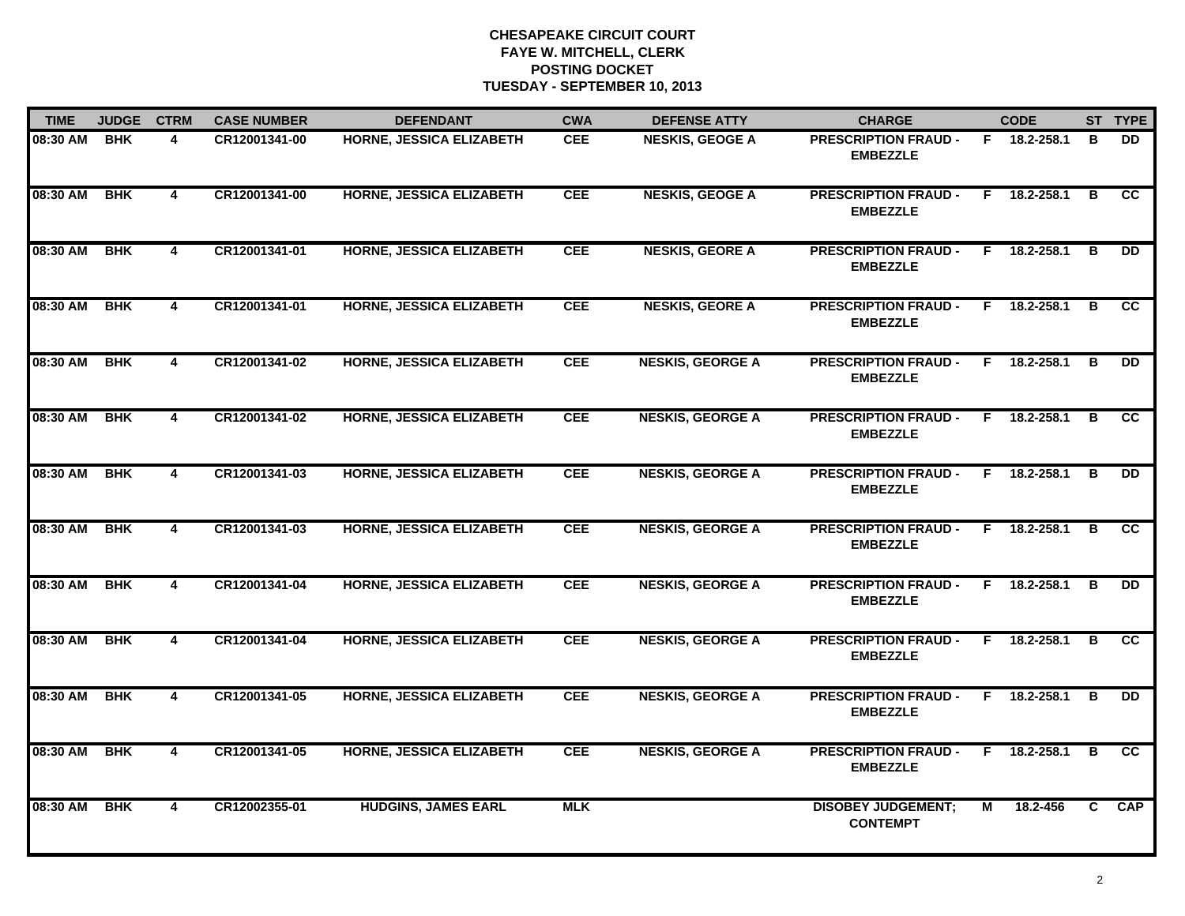| <b>TIME</b> | <b>JUDGE</b> | <b>CTRM</b>             | <b>CASE NUMBER</b> | <b>DEFENDANT</b>                | <b>CWA</b> | <b>DEFENSE ATTY</b>     | <b>CHARGE</b>                                  |    | <b>CODE</b>    |    | ST TYPE         |
|-------------|--------------|-------------------------|--------------------|---------------------------------|------------|-------------------------|------------------------------------------------|----|----------------|----|-----------------|
| 08:30 AM    | <b>BHK</b>   | 4                       | CR12001341-00      | <b>HORNE, JESSICA ELIZABETH</b> | <b>CEE</b> | <b>NESKIS, GEOGE A</b>  | <b>PRESCRIPTION FRAUD -</b><br><b>EMBEZZLE</b> |    | F 18.2-258.1   | в  | DD.             |
| 08:30 AM    | <b>BHK</b>   | $\overline{4}$          | CR12001341-00      | <b>HORNE, JESSICA ELIZABETH</b> | <b>CEE</b> | <b>NESKIS, GEOGE A</b>  | <b>PRESCRIPTION FRAUD -</b><br><b>EMBEZZLE</b> | F  | 18.2-258.1     | B  | $\overline{cc}$ |
| 08:30 AM    | <b>BHK</b>   | $\overline{4}$          | CR12001341-01      | <b>HORNE, JESSICA ELIZABETH</b> | <b>CEE</b> | <b>NESKIS, GEORE A</b>  | <b>PRESCRIPTION FRAUD -</b><br><b>EMBEZZLE</b> | F. | 18.2-258.1     | в  | <b>DD</b>       |
| 08:30 AM    | <b>BHK</b>   | 4                       | CR12001341-01      | HORNE, JESSICA ELIZABETH        | <b>CEE</b> | <b>NESKIS, GEORE A</b>  | <b>PRESCRIPTION FRAUD -</b><br><b>EMBEZZLE</b> | F. | 18.2-258.1     | в  | <b>CC</b>       |
| 08:30 AM    | <b>BHK</b>   | 4                       | CR12001341-02      | <b>HORNE, JESSICA ELIZABETH</b> | <b>CEE</b> | <b>NESKIS, GEORGE A</b> | <b>PRESCRIPTION FRAUD -</b><br><b>EMBEZZLE</b> |    | F 18.2-258.1   | в  | <b>DD</b>       |
| 08:30 AM    | <b>BHK</b>   | 4                       | CR12001341-02      | <b>HORNE, JESSICA ELIZABETH</b> | <b>CEE</b> | <b>NESKIS, GEORGE A</b> | <b>PRESCRIPTION FRAUD -</b><br><b>EMBEZZLE</b> |    | F 18.2-258.1   | в  | <b>CC</b>       |
| 08:30 AM    | <b>BHK</b>   | $\overline{4}$          | CR12001341-03      | <b>HORNE, JESSICA ELIZABETH</b> | <b>CEE</b> | <b>NESKIS, GEORGE A</b> | <b>PRESCRIPTION FRAUD -</b><br><b>EMBEZZLE</b> | F. | 18.2-258.1     | B  | <b>DD</b>       |
| 08:30 AM    | <b>BHK</b>   | 4                       | CR12001341-03      | <b>HORNE, JESSICA ELIZABETH</b> | <b>CEE</b> | <b>NESKIS, GEORGE A</b> | <b>PRESCRIPTION FRAUD -</b><br><b>EMBEZZLE</b> | F. | 18.2-258.1     | в  | cc              |
| 08:30 AM    | <b>BHK</b>   | 4                       | CR12001341-04      | HORNE, JESSICA ELIZABETH        | <b>CEE</b> | <b>NESKIS, GEORGE A</b> | <b>PRESCRIPTION FRAUD -</b><br><b>EMBEZZLE</b> | F. | 18.2-258.1     | B  | <b>DD</b>       |
| 08:30 AM    | <b>BHK</b>   | 4                       | CR12001341-04      | <b>HORNE, JESSICA ELIZABETH</b> | <b>CEE</b> | <b>NESKIS, GEORGE A</b> | <b>PRESCRIPTION FRAUD -</b><br><b>EMBEZZLE</b> | F. | 18.2-258.1     | в  | <b>CC</b>       |
| 08:30 AM    | <b>BHK</b>   | $\overline{4}$          | CR12001341-05      | <b>HORNE, JESSICA ELIZABETH</b> | <b>CEE</b> | <b>NESKIS, GEORGE A</b> | <b>PRESCRIPTION FRAUD -</b><br><b>EMBEZZLE</b> |    | $F$ 18.2-258.1 | в  | DD              |
| 08:30 AM    | <b>BHK</b>   | 4                       | CR12001341-05      | <b>HORNE, JESSICA ELIZABETH</b> | <b>CEE</b> | <b>NESKIS, GEORGE A</b> | <b>PRESCRIPTION FRAUD -</b><br><b>EMBEZZLE</b> |    | F 18.2-258.1   | в  | <b>CC</b>       |
| 08:30 AM    | <b>BHK</b>   | $\overline{\mathbf{4}}$ | CR12002355-01      | <b>HUDGINS, JAMES EARL</b>      | <b>MLK</b> |                         | <b>DISOBEY JUDGEMENT;</b><br><b>CONTEMPT</b>   | М  | 18.2-456       | C. | <b>CAP</b>      |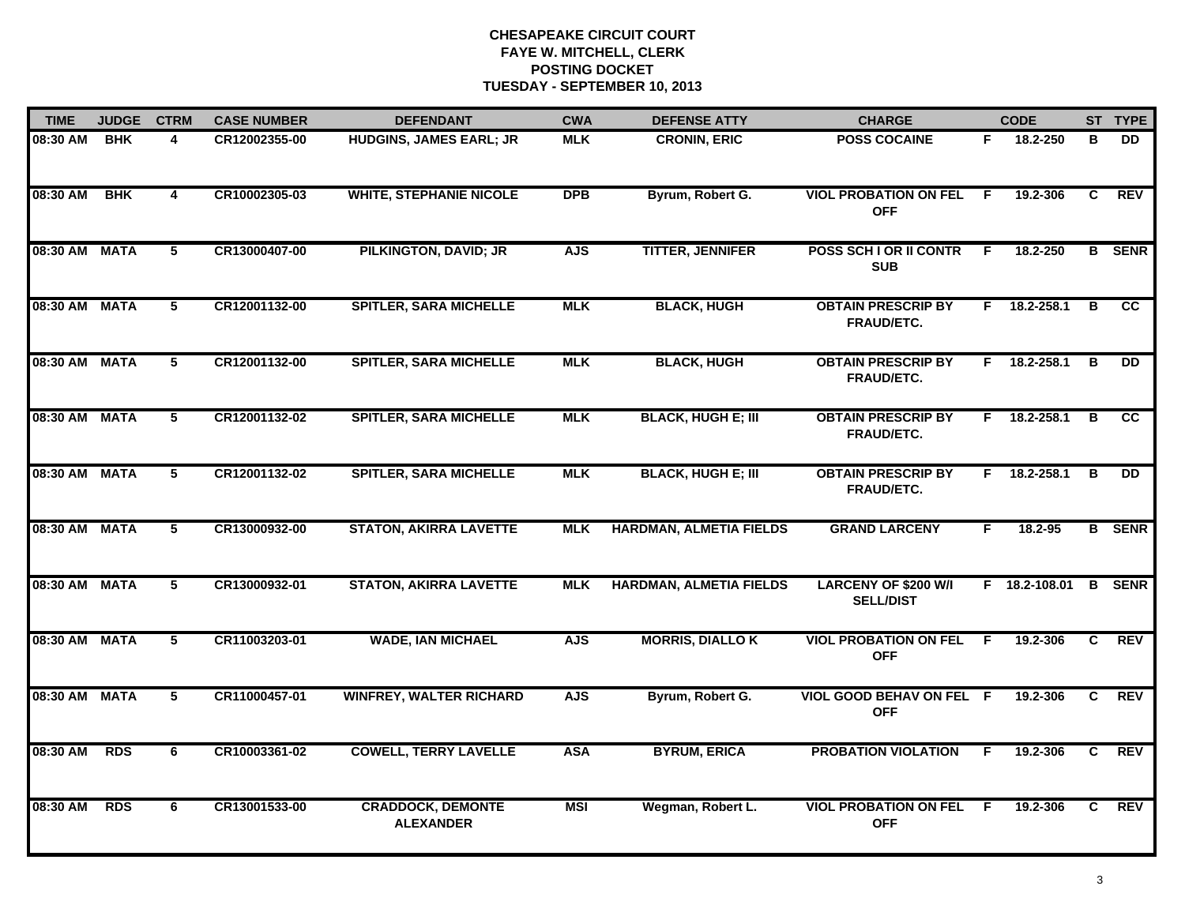| <b>TIME</b>   | <b>JUDGE</b> | <b>CTRM</b>    | <b>CASE NUMBER</b> | <b>DEFENDANT</b>                             | <b>CWA</b> | <b>DEFENSE ATTY</b>            | <b>CHARGE</b>                                   |    | <b>CODE</b>    |              | ST TYPE         |
|---------------|--------------|----------------|--------------------|----------------------------------------------|------------|--------------------------------|-------------------------------------------------|----|----------------|--------------|-----------------|
| 08:30 AM      | <b>BHK</b>   | 4              | CR12002355-00      | <b>HUDGINS, JAMES EARL; JR</b>               | <b>MLK</b> | <b>CRONIN, ERIC</b>            | <b>POSS COCAINE</b>                             | F. | 18.2-250       | в            | DD.             |
| 08:30 AM      | <b>BHK</b>   | $\overline{4}$ | CR10002305-03      | <b>WHITE, STEPHANIE NICOLE</b>               | <b>DPB</b> | Byrum, Robert G.               | <b>VIOL PROBATION ON FEL</b><br><b>OFF</b>      | -F | 19.2-306       | C            | REV             |
| 08:30 AM MATA |              | $\overline{5}$ | CR13000407-00      | <b>PILKINGTON, DAVID; JR</b>                 | <b>AJS</b> | <b>TITTER, JENNIFER</b>        | POSS SCH I OR II CONTR<br><b>SUB</b>            | F. | 18.2-250       |              | <b>B</b> SENR   |
| 08:30 AM MATA |              | 5              | CR12001132-00      | <b>SPITLER, SARA MICHELLE</b>                | <b>MLK</b> | <b>BLACK, HUGH</b>             | <b>OBTAIN PRESCRIP BY</b><br>FRAUD/ETC.         |    | F 18.2-258.1   | B            | <b>CC</b>       |
| 08:30 AM MATA |              | 5              | CR12001132-00      | <b>SPITLER, SARA MICHELLE</b>                | <b>MLK</b> | <b>BLACK, HUGH</b>             | <b>OBTAIN PRESCRIP BY</b><br><b>FRAUD/ETC.</b>  |    | F 18.2-258.1   | В            | <b>DD</b>       |
| 08:30 AM MATA |              | 5              | CR12001132-02      | <b>SPITLER, SARA MICHELLE</b>                | <b>MLK</b> | <b>BLACK, HUGH E; III</b>      | <b>OBTAIN PRESCRIP BY</b><br><b>FRAUD/ETC.</b>  |    | $F$ 18.2-258.1 | в            | $\overline{cc}$ |
| 08:30 AM MATA |              | $\overline{5}$ | CR12001132-02      | <b>SPITLER, SARA MICHELLE</b>                | <b>MLK</b> | <b>BLACK, HUGH E; III</b>      | <b>OBTAIN PRESCRIP BY</b><br><b>FRAUD/ETC.</b>  | F. | 18.2-258.1     | В            | <b>DD</b>       |
| 08:30 AM MATA |              | 5              | CR13000932-00      | <b>STATON, AKIRRA LAVETTE</b>                | <b>MLK</b> | <b>HARDMAN, ALMETIA FIELDS</b> | <b>GRAND LARCENY</b>                            | F. | 18.2-95        |              | <b>B</b> SENR   |
| 08:30 AM MATA |              | 5              | CR13000932-01      | <b>STATON, AKIRRA LAVETTE</b>                | <b>MLK</b> | <b>HARDMAN, ALMETIA FIELDS</b> | <b>LARCENY OF \$200 W/I</b><br><b>SELL/DIST</b> |    | F 18.2-108.01  |              | <b>B</b> SENR   |
| 08:30 AM MATA |              | 5              | CR11003203-01      | <b>WADE, IAN MICHAEL</b>                     | <b>AJS</b> | <b>MORRIS, DIALLO K</b>        | <b>VIOL PROBATION ON FEL</b><br><b>OFF</b>      | F  | 19.2-306       | $\mathbf{C}$ | <b>REV</b>      |
| 08:30 AM MATA |              | 5              | CR11000457-01      | <b>WINFREY, WALTER RICHARD</b>               | <b>AJS</b> | Byrum, Robert G.               | VIOL GOOD BEHAV ON FEL F<br><b>OFF</b>          |    | 19.2-306       | C.           | REV             |
| 08:30 AM      | <b>RDS</b>   | 6              | CR10003361-02      | <b>COWELL, TERRY LAVELLE</b>                 | <b>ASA</b> | <b>BYRUM, ERICA</b>            | <b>PROBATION VIOLATION</b>                      | F. | 19.2-306       | C            | <b>REV</b>      |
| 08:30 AM      | <b>RDS</b>   | 6              | CR13001533-00      | <b>CRADDOCK, DEMONTE</b><br><b>ALEXANDER</b> | <b>MSI</b> | Wegman, Robert L.              | <b>VIOL PROBATION ON FEL</b><br><b>OFF</b>      | -F | 19.2-306       | C.           | <b>REV</b>      |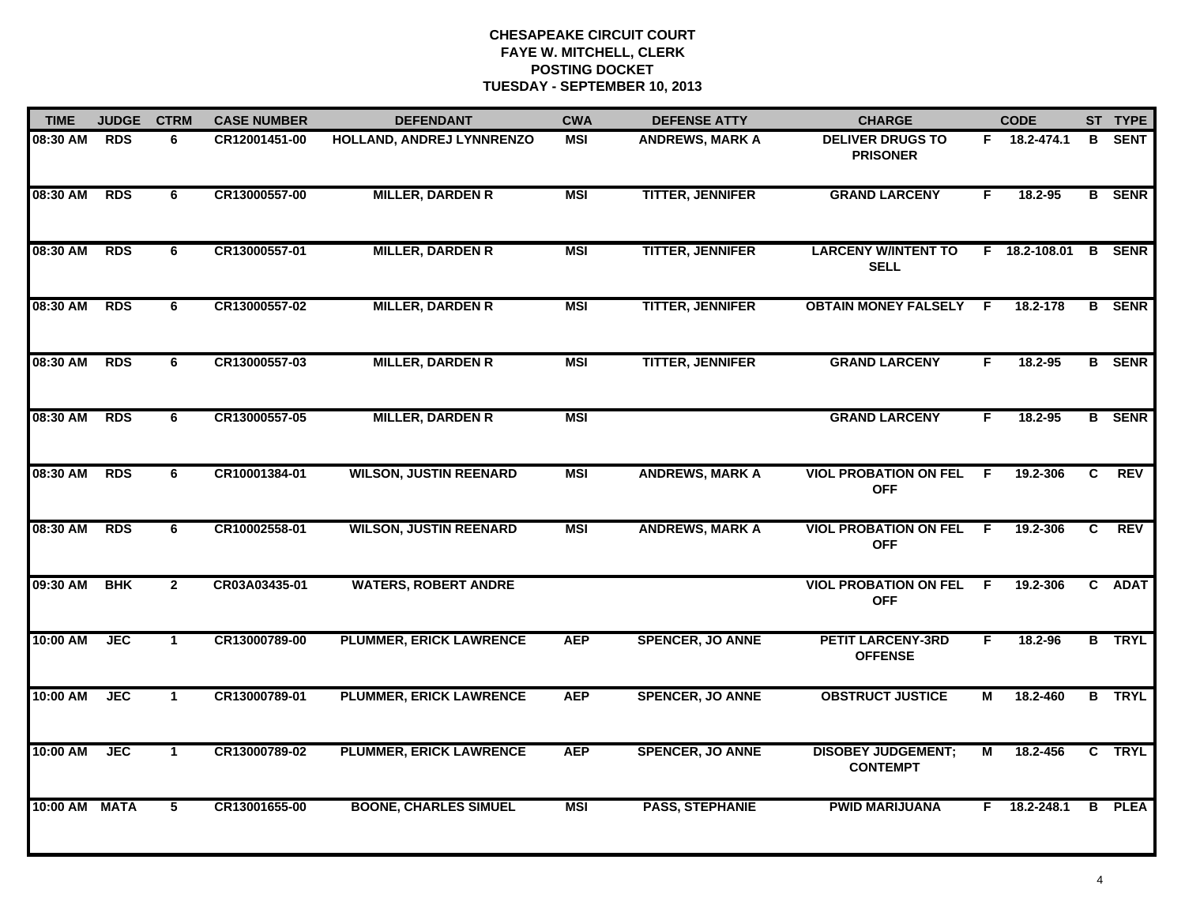| <b>TIME</b> | <b>JUDGE</b> | <b>CTRM</b>    | <b>CASE NUMBER</b> | <b>DEFENDANT</b>               | <b>CWA</b> | <b>DEFENSE ATTY</b>     | <b>CHARGE</b>                                |     | <b>CODE</b>   |   | ST TYPE       |
|-------------|--------------|----------------|--------------------|--------------------------------|------------|-------------------------|----------------------------------------------|-----|---------------|---|---------------|
| 08:30 AM    | <b>RDS</b>   | 6              | CR12001451-00      | HOLLAND, ANDREJ LYNNRENZO      | <b>MSI</b> | <b>ANDREWS, MARK A</b>  | <b>DELIVER DRUGS TO</b><br><b>PRISONER</b>   |     | F 18.2-474.1  | B | <b>SENT</b>   |
| 08:30 AM    | <b>RDS</b>   | 6              | CR13000557-00      | <b>MILLER, DARDEN R</b>        | <b>MSI</b> | <b>TITTER, JENNIFER</b> | <b>GRAND LARCENY</b>                         | F   | 18.2-95       |   | <b>B</b> SENR |
| 08:30 AM    | <b>RDS</b>   | 6              | CR13000557-01      | <b>MILLER, DARDEN R</b>        | <b>MSI</b> | <b>TITTER, JENNIFER</b> | <b>LARCENY W/INTENT TO</b><br><b>SELL</b>    |     | F 18.2-108.01 |   | <b>B</b> SENR |
| 08:30 AM    | <b>RDS</b>   | 6              | CR13000557-02      | <b>MILLER, DARDEN R</b>        | <b>MSI</b> | <b>TITTER, JENNIFER</b> | <b>OBTAIN MONEY FALSELY</b>                  | E   | 18.2-178      |   | <b>B</b> SENR |
| 08:30 AM    | <b>RDS</b>   | 6              | CR13000557-03      | <b>MILLER, DARDEN R</b>        | <b>MSI</b> | <b>TITTER, JENNIFER</b> | <b>GRAND LARCENY</b>                         | F.  | 18.2-95       |   | <b>B</b> SENR |
| 08:30 AM    | <b>RDS</b>   | 6              | CR13000557-05      | <b>MILLER, DARDEN R</b>        | <b>MSI</b> |                         | <b>GRAND LARCENY</b>                         | F.  | 18.2-95       |   | <b>B</b> SENR |
| 08:30 AM    | <b>RDS</b>   | 6              | CR10001384-01      | <b>WILSON, JUSTIN REENARD</b>  | <b>MSI</b> | <b>ANDREWS, MARK A</b>  | <b>VIOL PROBATION ON FEL</b><br><b>OFF</b>   | - F | 19.2-306      | C | <b>REV</b>    |
| 08:30 AM    | <b>RDS</b>   | 6              | CR10002558-01      | <b>WILSON, JUSTIN REENARD</b>  | <b>MSI</b> | <b>ANDREWS, MARK A</b>  | <b>VIOL PROBATION ON FEL</b><br><b>OFF</b>   | -F  | 19.2-306      | C | <b>REV</b>    |
| 09:30 AM    | <b>BHK</b>   | $\overline{2}$ | CR03A03435-01      | <b>WATERS, ROBERT ANDRE</b>    |            |                         | <b>VIOL PROBATION ON FEL</b><br><b>OFF</b>   | E   | 19.2-306      |   | C ADAT        |
| 10:00 AM    | <b>JEC</b>   | $\mathbf{1}$   | CR13000789-00      | <b>PLUMMER, ERICK LAWRENCE</b> | <b>AEP</b> | <b>SPENCER, JO ANNE</b> | <b>PETIT LARCENY-3RD</b><br><b>OFFENSE</b>   | F.  | 18.2-96       |   | <b>B</b> TRYL |
| 10:00 AM    | <b>JEC</b>   | $\mathbf{1}$   | CR13000789-01      | <b>PLUMMER, ERICK LAWRENCE</b> | <b>AEP</b> | <b>SPENCER, JO ANNE</b> | <b>OBSTRUCT JUSTICE</b>                      | М   | 18.2-460      |   | <b>B</b> TRYL |
| 10:00 AM    | <b>JEC</b>   | $\mathbf{1}$   | CR13000789-02      | <b>PLUMMER, ERICK LAWRENCE</b> | <b>AEP</b> | <b>SPENCER, JO ANNE</b> | <b>DISOBEY JUDGEMENT;</b><br><b>CONTEMPT</b> | М   | 18.2-456      |   | C TRYL        |
| 10:00 AM    | <b>MATA</b>  | 5              | CR13001655-00      | <b>BOONE, CHARLES SIMUEL</b>   | <b>MSI</b> | <b>PASS, STEPHANIE</b>  | <b>PWID MARIJUANA</b>                        |     | F 18.2-248.1  |   | <b>B</b> PLEA |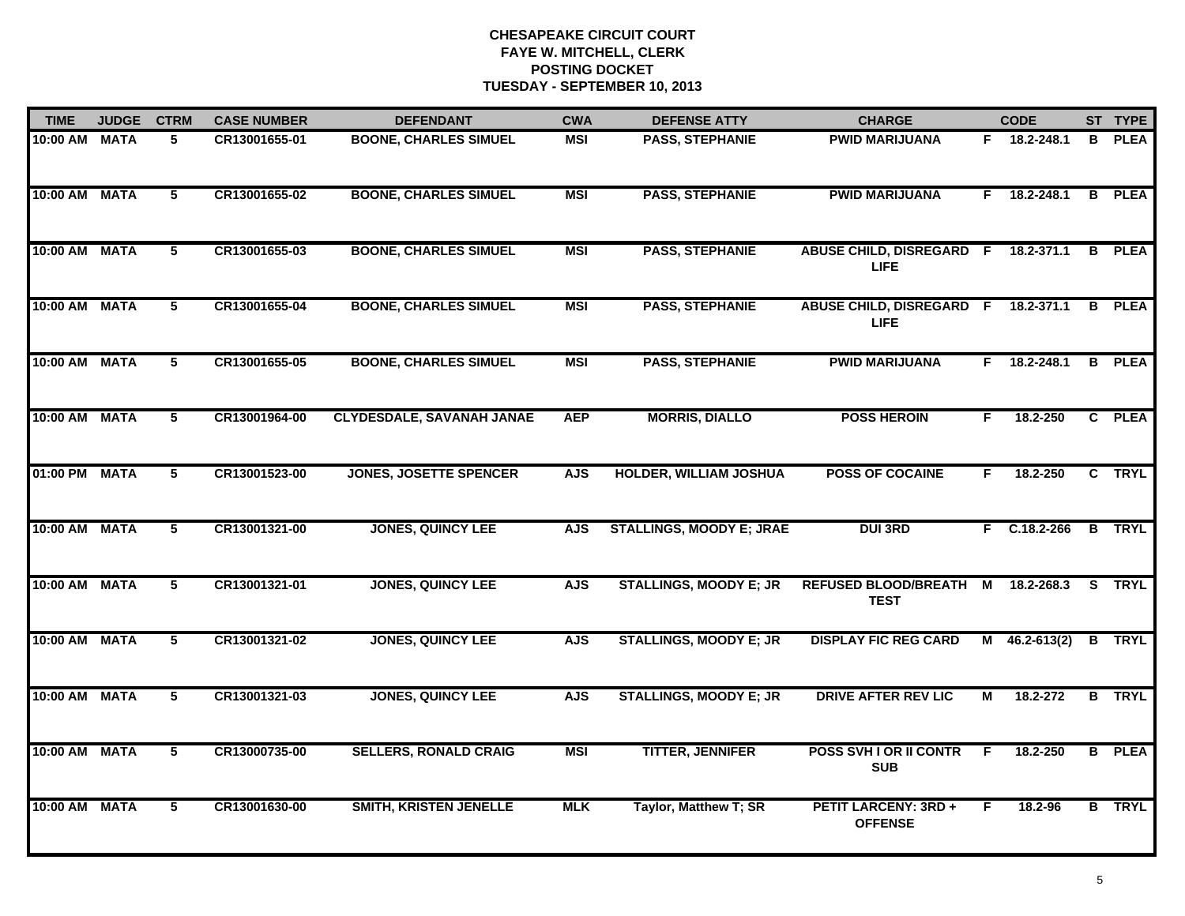| <b>TIME</b>   | <b>JUDGE</b> | <b>CTRM</b>     | <b>CASE NUMBER</b> | <b>DEFENDANT</b>                 | <b>CWA</b> | <b>DEFENSE ATTY</b>             | <b>CHARGE</b>                                  |    | <b>CODE</b>        |   | ST TYPE       |
|---------------|--------------|-----------------|--------------------|----------------------------------|------------|---------------------------------|------------------------------------------------|----|--------------------|---|---------------|
| 10:00 AM MATA |              | 5               | CR13001655-01      | <b>BOONE, CHARLES SIMUEL</b>     | MSI        | <b>PASS, STEPHANIE</b>          | <b>PWID MARIJUANA</b>                          |    | F 18.2-248.1       | B | <b>PLEA</b>   |
| 10:00 AM      | <b>MATA</b>  | $\overline{5}$  | CR13001655-02      | <b>BOONE, CHARLES SIMUEL</b>     | <b>MSI</b> | <b>PASS, STEPHANIE</b>          | <b>PWID MARIJUANA</b>                          |    | $F = 18.2 - 248.1$ |   | <b>B</b> PLEA |
| 10:00 AM      | <b>MATA</b>  | $\overline{5}$  | CR13001655-03      | <b>BOONE, CHARLES SIMUEL</b>     | <b>MSI</b> | <b>PASS, STEPHANIE</b>          | <b>ABUSE CHILD, DISREGARD F</b><br><b>LIFE</b> |    | 18.2-371.1         |   | <b>B</b> PLEA |
| 10:00 AM MATA |              | 5               | CR13001655-04      | <b>BOONE, CHARLES SIMUEL</b>     | <b>MSI</b> | <b>PASS, STEPHANIE</b>          | <b>ABUSE CHILD, DISREGARD F</b><br>LIFE.       |    | 18.2-371.1         |   | <b>B</b> PLEA |
| 10:00 AM      | <b>MATA</b>  | 5               | CR13001655-05      | <b>BOONE, CHARLES SIMUEL</b>     | <b>MSI</b> | <b>PASS, STEPHANIE</b>          | <b>PWID MARIJUANA</b>                          |    | F 18.2-248.1       |   | <b>B</b> PLEA |
| 10:00 AM MATA |              | 5               | CR13001964-00      | <b>CLYDESDALE, SAVANAH JANAE</b> | <b>AEP</b> | <b>MORRIS, DIALLO</b>           | <b>POSS HEROIN</b>                             | F. | 18.2-250           |   | C PLEA        |
| 01:00 PM      | <b>MATA</b>  | $\overline{5}$  | CR13001523-00      | <b>JONES, JOSETTE SPENCER</b>    | <b>AJS</b> | <b>HOLDER, WILLIAM JOSHUA</b>   | <b>POSS OF COCAINE</b>                         | F. | 18.2-250           |   | C TRYL        |
| 10:00 AM      | <b>MATA</b>  | $\overline{5}$  | CR13001321-00      | <b>JONES, QUINCY LEE</b>         | <b>AJS</b> | <b>STALLINGS, MOODY E; JRAE</b> | <b>DUI 3RD</b>                                 |    | $F$ C.18.2-266     |   | <b>B</b> TRYL |
| 10:00 AM      | <b>MATA</b>  | 5               | CR13001321-01      | <b>JONES, QUINCY LEE</b>         | <b>AJS</b> | <b>STALLINGS, MOODY E; JR</b>   | REFUSED BLOOD/BREATH M<br><b>TEST</b>          |    | 18.2-268.3         |   | S TRYL        |
| 10:00 AM      | <b>MATA</b>  | $\overline{5}$  | CR13001321-02      | <b>JONES, QUINCY LEE</b>         | <b>AJS</b> | <b>STALLINGS, MOODY E; JR</b>   | <b>DISPLAY FIC REG CARD</b>                    |    | $M$ 46.2-613(2)    |   | <b>B</b> TRYL |
| 10:00 AM MATA |              | $5\phantom{.0}$ | CR13001321-03      | <b>JONES, QUINCY LEE</b>         | <b>AJS</b> | <b>STALLINGS, MOODY E; JR</b>   | <b>DRIVE AFTER REV LIC</b>                     | М  | 18.2-272           |   | <b>B</b> TRYL |
| 10:00 AM      | <b>MATA</b>  | $\overline{5}$  | CR13000735-00      | <b>SELLERS, RONALD CRAIG</b>     | <b>MSI</b> | <b>TITTER, JENNIFER</b>         | POSS SVH I OR II CONTR<br><b>SUB</b>           | F. | 18.2-250           |   | <b>B</b> PLEA |
| 10:00 AM MATA |              | 5               | CR13001630-00      | <b>SMITH, KRISTEN JENELLE</b>    | <b>MLK</b> | Taylor, Matthew T; SR           | <b>PETIT LARCENY: 3RD +</b><br><b>OFFENSE</b>  | F  | 18.2-96            |   | <b>B</b> TRYL |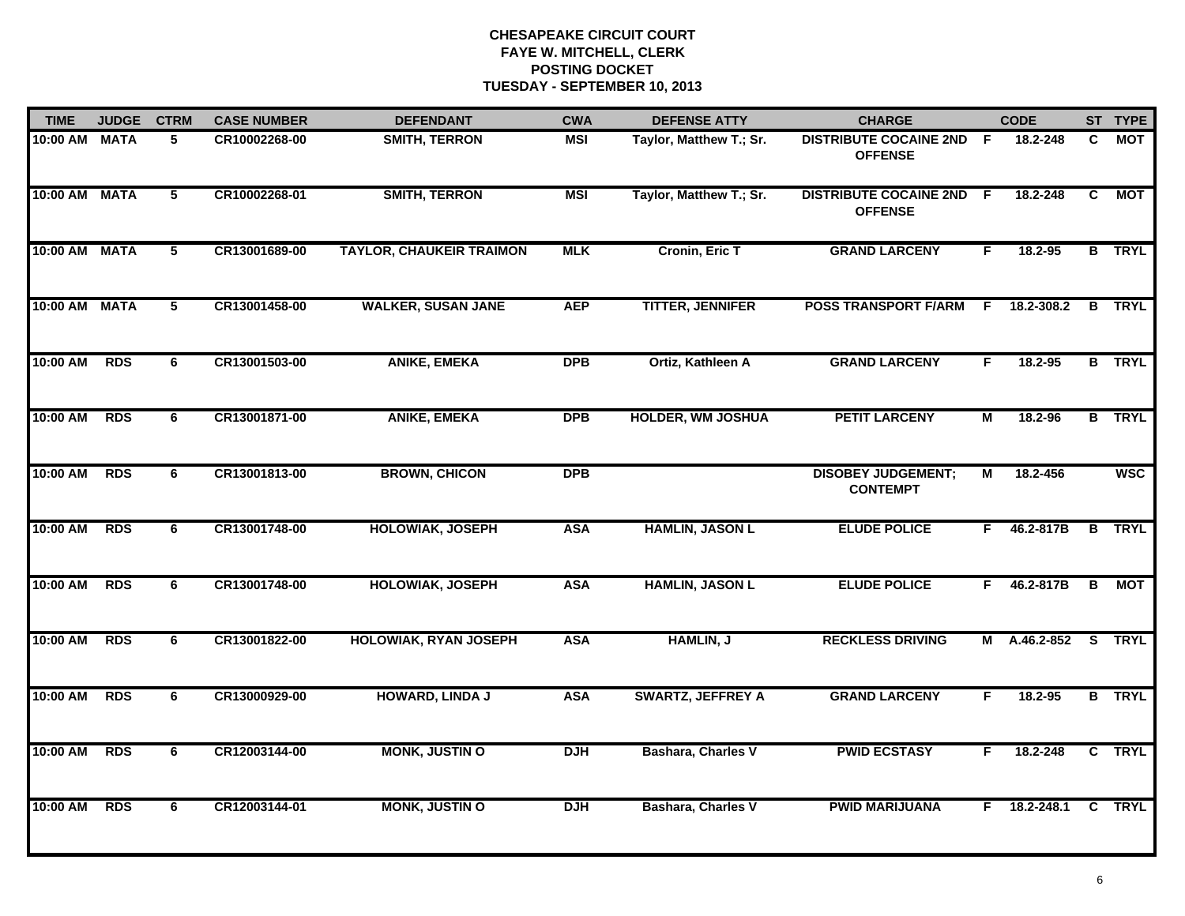| <b>TIME</b> | <b>JUDGE</b> | <b>CTRM</b>             | <b>CASE NUMBER</b> | <b>DEFENDANT</b>                | <b>CWA</b> | <b>DEFENSE ATTY</b>       | <b>CHARGE</b>                                     |    | <b>CODE</b>  |   | ST TYPE       |
|-------------|--------------|-------------------------|--------------------|---------------------------------|------------|---------------------------|---------------------------------------------------|----|--------------|---|---------------|
| 10:00 AM    | <b>MATA</b>  | 5                       | CR10002268-00      | <b>SMITH, TERRON</b>            | MSI        | Taylor, Matthew T.; Sr.   | <b>DISTRIBUTE COCAINE 2ND F</b><br><b>OFFENSE</b> |    | 18.2-248     | C | <b>MOT</b>    |
| 10:00 AM    | <b>MATA</b>  | 5                       | CR10002268-01      | <b>SMITH, TERRON</b>            | <b>MSI</b> | Taylor, Matthew T.; Sr.   | <b>DISTRIBUTE COCAINE 2ND</b><br><b>OFFENSE</b>   | -F | 18.2-248     | C | <b>MOT</b>    |
| 10:00 AM    | <b>MATA</b>  | $\overline{\mathbf{5}}$ | CR13001689-00      | <b>TAYLOR, CHAUKEIR TRAIMON</b> | <b>MLK</b> | Cronin, Eric T            | <b>GRAND LARCENY</b>                              | F. | 18.2-95      |   | <b>B</b> TRYL |
| 10:00 AM    | <b>MATA</b>  | 5                       | CR13001458-00      | <b>WALKER, SUSAN JANE</b>       | <b>AEP</b> | <b>TITTER, JENNIFER</b>   | <b>POSS TRANSPORT F/ARM</b>                       | F. | 18.2-308.2   |   | <b>B</b> TRYL |
| 10:00 AM    | <b>RDS</b>   | 6                       | CR13001503-00      | <b>ANIKE, EMEKA</b>             | <b>DPB</b> | Ortiz, Kathleen A         | <b>GRAND LARCENY</b>                              | F. | 18.2-95      |   | <b>B</b> TRYL |
| 10:00 AM    | <b>RDS</b>   | 6                       | CR13001871-00      | <b>ANIKE, EMEKA</b>             | <b>DPB</b> | <b>HOLDER, WM JOSHUA</b>  | <b>PETIT LARCENY</b>                              | М  | 18.2-96      |   | <b>B</b> TRYL |
| 10:00 AM    | <b>RDS</b>   | 6                       | CR13001813-00      | <b>BROWN, CHICON</b>            | <b>DPB</b> |                           | <b>DISOBEY JUDGEMENT;</b><br><b>CONTEMPT</b>      | М  | 18.2-456     |   | <b>WSC</b>    |
| 10:00 AM    | <b>RDS</b>   | 6                       | CR13001748-00      | <b>HOLOWIAK, JOSEPH</b>         | <b>ASA</b> | <b>HAMLIN, JASON L</b>    | <b>ELUDE POLICE</b>                               | F. | 46.2-817B    |   | <b>B</b> TRYL |
| 10:00 AM    | <b>RDS</b>   | 6                       | CR13001748-00      | <b>HOLOWIAK, JOSEPH</b>         | <b>ASA</b> | <b>HAMLIN, JASON L</b>    | <b>ELUDE POLICE</b>                               | F. | 46.2-817B    | B | <b>MOT</b>    |
| 10:00 AM    | <b>RDS</b>   | 6                       | CR13001822-00      | <b>HOLOWIAK, RYAN JOSEPH</b>    | <b>ASA</b> | <b>HAMLIN, J</b>          | <b>RECKLESS DRIVING</b>                           | М  | A.46.2-852   |   | S TRYL        |
| 10:00 AM    | <b>RDS</b>   | 6                       | CR13000929-00      | <b>HOWARD, LINDA J</b>          | <b>ASA</b> | <b>SWARTZ, JEFFREY A</b>  | <b>GRAND LARCENY</b>                              | F. | 18.2-95      |   | <b>B</b> TRYL |
| 10:00 AM    | <b>RDS</b>   | 6                       | CR12003144-00      | <b>MONK, JUSTIN O</b>           | <b>DJH</b> | <b>Bashara, Charles V</b> | <b>PWID ECSTASY</b>                               | F. | 18.2-248     |   | C TRYL        |
| 10:00 AM    | <b>RDS</b>   | 6                       | CR12003144-01      | <b>MONK, JUSTIN O</b>           | <b>DJH</b> | <b>Bashara, Charles V</b> | <b>PWID MARIJUANA</b>                             |    | F 18.2-248.1 |   | C TRYL        |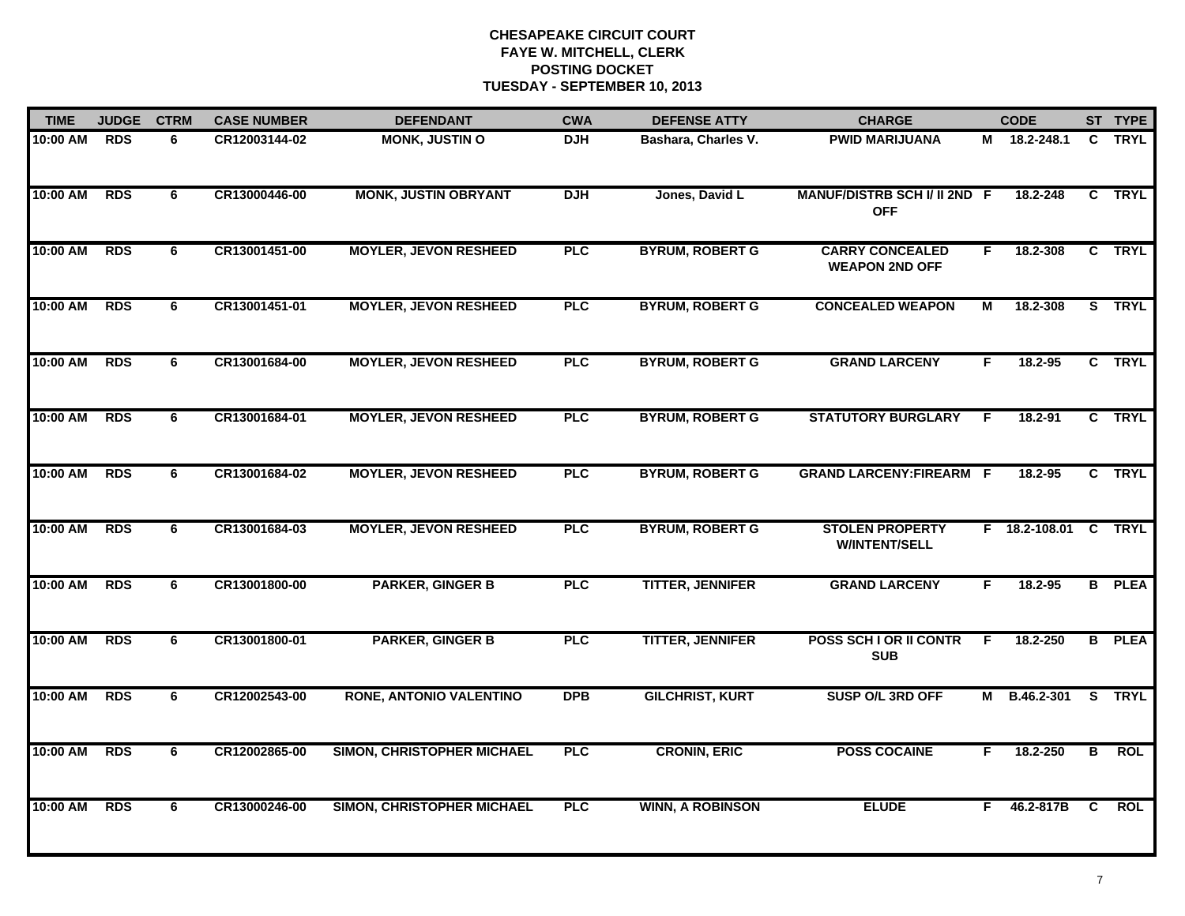| <b>TIME</b> | <b>JUDGE</b> | <b>CTRM</b> | <b>CASE NUMBER</b> | <b>DEFENDANT</b>                  | <b>CWA</b> | <b>DEFENSE ATTY</b>     | <b>CHARGE</b>                                   |    | <b>CODE</b>     |    | ST TYPE       |
|-------------|--------------|-------------|--------------------|-----------------------------------|------------|-------------------------|-------------------------------------------------|----|-----------------|----|---------------|
| 10:00 AM    | <b>RDS</b>   | 6           | CR12003144-02      | <b>MONK, JUSTIN O</b>             | <b>DJH</b> | Bashara, Charles V.     | <b>PWID MARIJUANA</b>                           |    | M 18.2-248.1    |    | C TRYL        |
| 10:00 AM    | <b>RDS</b>   | 6           | CR13000446-00      | <b>MONK, JUSTIN OBRYANT</b>       | <b>DJH</b> | Jones, David L          | MANUF/DISTRB SCH I/ II 2ND F<br><b>OFF</b>      |    | 18.2-248        |    | C TRYL        |
| 10:00 AM    | <b>RDS</b>   | 6           | CR13001451-00      | <b>MOYLER, JEVON RESHEED</b>      | PLC        | <b>BYRUM, ROBERT G</b>  | <b>CARRY CONCEALED</b><br><b>WEAPON 2ND OFF</b> | F. | 18.2-308        |    | C TRYL        |
| 10:00 AM    | <b>RDS</b>   | 6           | CR13001451-01      | <b>MOYLER, JEVON RESHEED</b>      | <b>PLC</b> | <b>BYRUM, ROBERT G</b>  | <b>CONCEALED WEAPON</b>                         | М  | 18.2-308        |    | S TRYL        |
| 10:00 AM    | <b>RDS</b>   | 6           | CR13001684-00      | <b>MOYLER, JEVON RESHEED</b>      | <b>PLC</b> | <b>BYRUM, ROBERT G</b>  | <b>GRAND LARCENY</b>                            | F  | $18.2 - 95$     |    | C TRYL        |
| 10:00 AM    | <b>RDS</b>   | 6           | CR13001684-01      | <b>MOYLER, JEVON RESHEED</b>      | <b>PLC</b> | <b>BYRUM, ROBERT G</b>  | <b>STATUTORY BURGLARY</b>                       | F  | 18.2-91         |    | C TRYL        |
| 10:00 AM    | <b>RDS</b>   | 6           | CR13001684-02      | <b>MOYLER, JEVON RESHEED</b>      | <b>PLC</b> | <b>BYRUM, ROBERT G</b>  | <b>GRAND LARCENY:FIREARM F</b>                  |    | 18.2-95         |    | C TRYL        |
| 10:00 AM    | <b>RDS</b>   | 6           | CR13001684-03      | <b>MOYLER, JEVON RESHEED</b>      | <b>PLC</b> | <b>BYRUM, ROBERT G</b>  | <b>STOLEN PROPERTY</b><br><b>W/INTENT/SELL</b>  |    | $F$ 18.2-108.01 |    | C TRYL        |
| 10:00 AM    | <b>RDS</b>   | 6           | CR13001800-00      | <b>PARKER, GINGER B</b>           | <b>PLC</b> | <b>TITTER, JENNIFER</b> | <b>GRAND LARCENY</b>                            | F  | $18.2 - 95$     |    | <b>B</b> PLEA |
| 10:00 AM    | <b>RDS</b>   | 6           | CR13001800-01      | <b>PARKER, GINGER B</b>           | <b>PLC</b> | <b>TITTER, JENNIFER</b> | <b>POSS SCH I OR II CONTR</b><br><b>SUB</b>     | F  | 18.2-250        |    | <b>B</b> PLEA |
| 10:00 AM    | <b>RDS</b>   | 6           | CR12002543-00      | <b>RONE, ANTONIO VALENTINO</b>    | <b>DPB</b> | <b>GILCHRIST, KURT</b>  | SUSP O/L 3RD OFF                                |    | M B.46.2-301    |    | S TRYL        |
| 10:00 AM    | <b>RDS</b>   | 6           | CR12002865-00      | <b>SIMON, CHRISTOPHER MICHAEL</b> | <b>PLC</b> | <b>CRONIN, ERIC</b>     | <b>POSS COCAINE</b>                             | F. | 18.2-250        | B  | <b>ROL</b>    |
| 10:00 AM    | <b>RDS</b>   | 6           | CR13000246-00      | SIMON, CHRISTOPHER MICHAEL        | <b>PLC</b> | <b>WINN, A ROBINSON</b> | <b>ELUDE</b>                                    | F  | 46.2-817B       | C. | <b>ROL</b>    |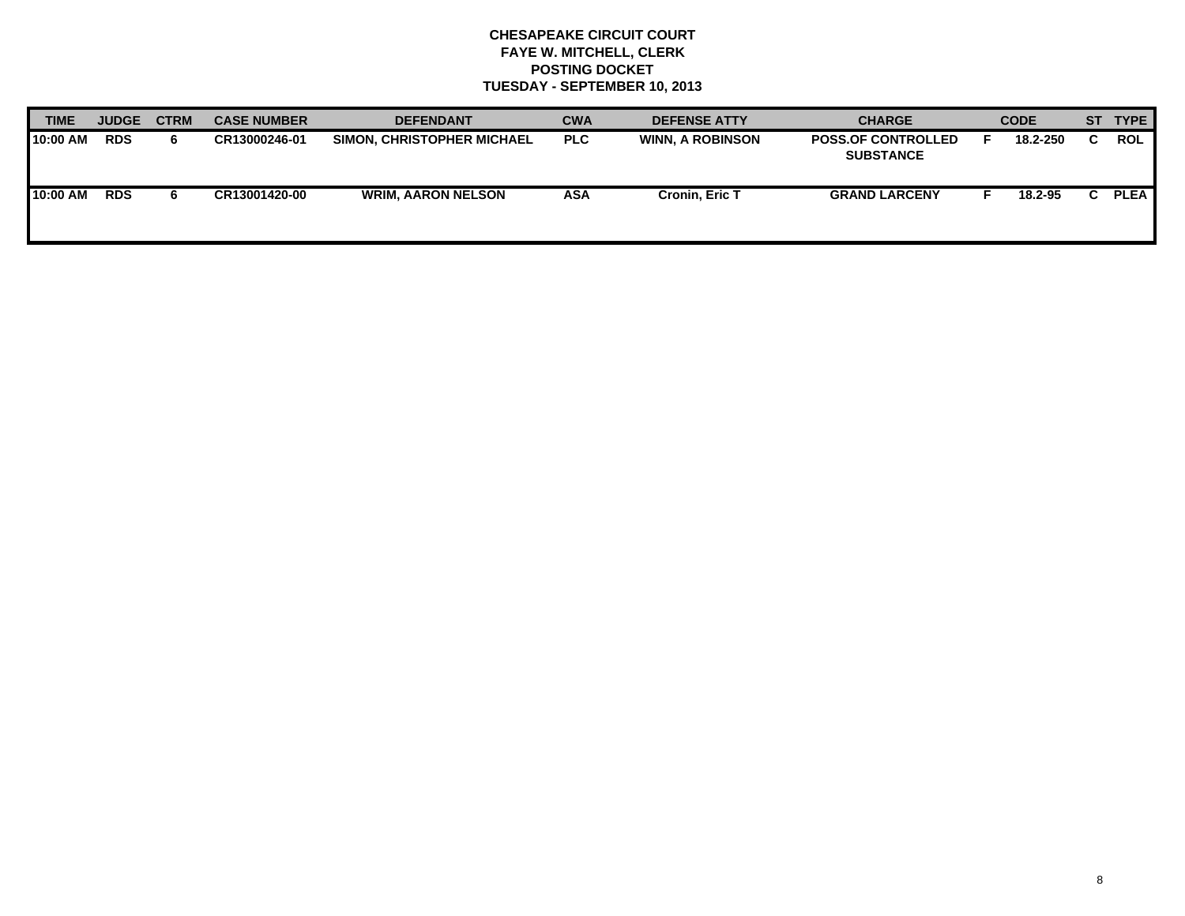| <b>TIME</b> | <b>JUDGE</b> | <b>CTRM</b> | <b>CASE NUMBER</b> | <b>DEFENDANT</b>                  | <b>CWA</b> | <b>DEFENSE ATTY</b>     | <b>CHARGE</b>                                 | <b>CODE</b> |  | ST TYPE     |
|-------------|--------------|-------------|--------------------|-----------------------------------|------------|-------------------------|-----------------------------------------------|-------------|--|-------------|
| 10:00 AM    | <b>RDS</b>   | 6.          | CR13000246-01      | <b>SIMON, CHRISTOPHER MICHAEL</b> | <b>PLC</b> | <b>WINN, A ROBINSON</b> | <b>POSS.OF CONTROLLED</b><br><b>SUBSTANCE</b> | 18.2-250    |  | <b>ROL</b>  |
| 10:00 AM    | <b>RDS</b>   | 6.          | CR13001420-00      | <b>WRIM, AARON NELSON</b>         | ASA        | Cronin, Eric T          | <b>GRAND LARCENY</b>                          | 18.2-95     |  | <b>PLEA</b> |